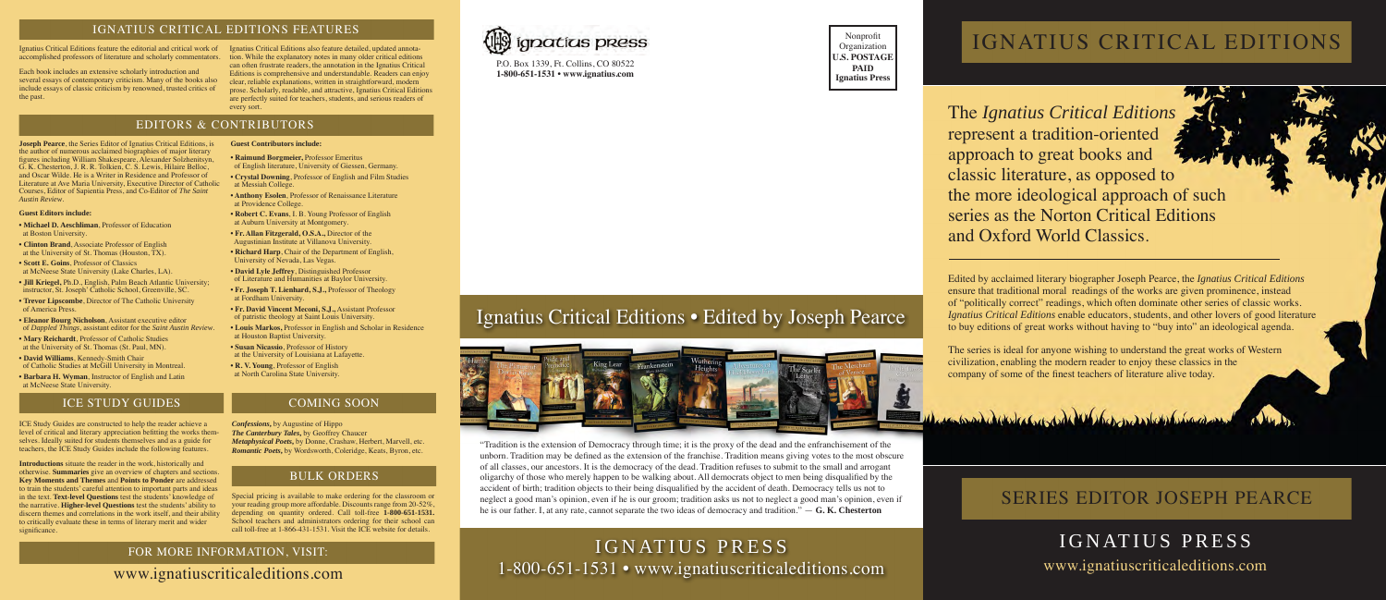# IGNATIUS PRESS 1-800-651-1531 • www.ignatiuscriticaleditions.com

"Tradition is the extension of Democracy through time; it is the proxy of the dead and the enfranchisement of the unborn. Tradition may be defined as the extension of the franchise. Tradition means giving votes to the most obscure of all classes, our ancestors. It is the democracy of the dead. Tradition refuses to submit to the small and arrogant oligarchy of those who merely happen to be walking about. All democrats object to men being disqualified by the accident of birth; tradition objects to their being disqualified by the accident of death. Democracy tells us not to neglect a good man's opinion, even if he is our groom; tradition asks us not to neglect a good man's opinion, even if he is our father. I, at any rate, cannot separate the two ideas of democracy and tradition." — **G. K. Chesterton**

## Ignatius Critical Editions • Edited by Joseph Pearce



The *Ignatius Critical Editions* represent a tradition-oriented approach to great books and classic literature, as opposed to the more ideological approach of such series as the Norton Critical Editions and Oxford World Classics.

**Introductions** situate the reader in the work, historically and otherwise. **Summaries** give an overview of chapters and sections. **Key Moments and Themes** and **Points to Ponder** are addressed to train the students' careful attention to important parts and ideas in the text. **Text-level Questions** test the students' knowledge of the narrative. **Higher-level Questions** test the students' ability to discern themes and correlations in the work itself, and their ability to critically evaluate these in terms of literary merit and wider significance.

Edited by acclaimed literary biographer Joseph Pearce, the *Ignatius Critical Editions* ensure that traditional moral readings of the works are given prominence, instead of "politically correct" readings, which often dominate other series of classic works. *Ignatius Critical Editions* enable educators, students, and other lovers of good literature to buy editions of great works without having to "buy into" an ideological agenda.

The series is ideal for anyone wishing to understand the great works of Western civilization, enabling the modern reader to enjoy these classics in the company of some of the finest teachers of literature alive today.

were to and identification and in the hospital and the former

# SERIES EDITOR JOSEPH PEARCE

IGNATIUS PRESS www.ignatiuscriticaleditions.com



# IGNATIUS CRITICAL EDITIONS

#### ICE STUDY GUIDES

Ignatius Critical Editions feature the editorial and critical work of Ignatius Critical Editions also feature detailed, updated annotaaccomplished professors of literature and scholarly commentators. tion. While the explanatory notes in many older critical editions

ICE Study Guides are constructed to help the reader achieve a level of critical and literary appreciation befitting the works themselves. Ideally suited for students themselves and as a guide for teachers, the ICE Study Guides include the following features.

#### COMING SOON

*Confessions***,** by Augustine of Hippo *The Canterbury Tales***,** by Geoffrey Chaucer *Metaphysical Poets***,** by Donne, Crashaw, Herbert, Marvell, etc. *Romantic Poets***,** by Wordsworth, Coleridge, Keats, Byron, etc.

#### BULK ORDERS

Special pricing is available to make ordering for the classroom or your reading group more affordable. Discounts range from 20-52%, depending on quantity ordered. Call toll-free **1-800-651-1531.** School teachers and administrators ordering for their school can call toll-free at 1-866-431-1531. Visit the ICE website for details.

## FOR MORE INFORMATION, VISIT: www.ignatiuscriticaleditions.com



#### IGNATIUS CRITICAL EDITIONS FEATURES

Each book includes an extensive scholarly introduction and several essays of contemporary criticism. Many of the books also include essays of classic criticism by renowned, trusted critics of the past.

can often frustrate readers, the annotation in the Ignatius Critical Editions is comprehensive and understandable. Readers can enjoy clear, reliable explanations, written in straightforward, modern prose. Scholarly, readable, and attractive, Ignatius Critical Editions are perfectly suited for teachers, students, and serious readers of every sort.

### EDITORS & CONTRIBUTORS

**Joseph Pearce**, the Series Editor of Ignatius Critical Editions, is the author of numerous acclaimed biographies of major literary figures including William Shakespeare, Alexander Solzhenitsyn, G. K. Chesterton, J. R. R. Tolkien, C. S. Lewis, Hilaire Belloc, and Oscar Wilde. He is a Writer in Residence and Professor of Literature at Ave Maria University, Executive Director of Catholic Courses, Editor of Sapientia Press, and Co-Editor of *The Saint Austin Review*.

#### **Guest Editors include:**

- **Michael D. Aeschliman**, Professor of Education at Boston University.
- **Clinton Brand**, Associate Professor of English at the University of St. Thomas (Houston, TX).
- **Scott E. Goins**, Professor of Classics at McNeese State University (Lake Charles, LA).
- **Jill Kriegel,** Ph.D., English, Palm Beach Atlantic University; instructor, St. Joseph' Catholic School, Greenville, SC.
- **Trevor Lipscombe**, Director of The Catholic University of America Press.
- **Eleanor Bourg Nicholson**, Assistant executive editor of *Dappled Things*, assistant editor for the *Saint Austin Review*.
- **Mary Reichardt**, Professor of Catholic Studies at the University of St. Thomas (St. Paul, MN).
- **David Williams**, Kennedy-Smith Chair of Catholic Studies at McGill University in Montreal.
- **Barbara H. Wyman**, Instructor of English and Latin at McNeese State University.

#### **Guest Contributors include:**

- **Raimund Borgmeier,** Professor Emeritus of English literature, University of Giessen, Germany.
- **Crystal Downing**, Professor of English and Film Studies at Messiah College.
- **Anthony Esolen**, Professor of Renaissance Literature at Providence College.
- **Robert C. Evans**, I. B. Young Professor of English at Auburn University at Montgomery.
- **Fr. Allan Fitzgerald, O.S.A.,** Director of the Augustinian Institute at Villanova University.
- **Richard Harp**, Chair of the Department of English, University of Nevada, Las Vegas.
- **• David Lyle Jeffrey**, Distinguished Professor of Literature and Humanities at Baylor University.
- **Fr. Joseph T. Lienhard, S.J.,** Professor of Theology at Fordham University.
- **Fr. David Vincent Meconi, S.J.,** Assistant Professor of patristic theology at Saint Louis University.
- **Louis Markos,** Professor in English and Scholar in Residence at Houston Baptist University.
- **Susan Nicassio**, Professor of History at the University of Louisiana at Lafayette.
- • **R. V. Young**, Professor of English at North Carolina State University.

P.O. Box 1339, Ft. Collins, CO 80522 **1-800-651-1531 • www.ignatius.com**

Nonprofit Organization **U.S. POSTAGE PAID Ignatius Press**